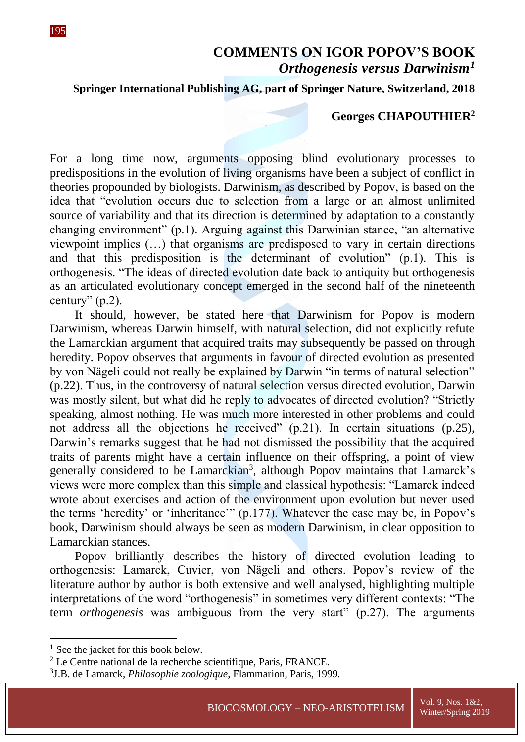## **COMMENTS ON IGOR POPOV'S BOOK** *Orthogenesis versus Darwinism<sup>1</sup>*

## **Springer International Publishing AG, part of Springer Nature, Switzerland, 2018**

## **Georges CHAPOUTHIER<sup>2</sup>**

For a long time now, arguments opposing blind evolutionary processes to predispositions in the evolution of living organisms have been a subject of conflict in theories propounded by biologists. Darwinism, as described by Popov, is based on the idea that "evolution occurs due to selection from a large or an almost unlimited source of variability and that its direction is determined by adaptation to a constantly changing environment" (p.1). Arguing against this Darwinian stance, "an alternative viewpoint implies (…) that organisms are predisposed to vary in certain directions and that this predisposition is the determinant of evolution" (p.1). This is orthogenesis. "The ideas of directed evolution date back to antiquity but orthogenesis as an articulated evolutionary concept emerged in the second half of the nineteenth century" (p.2).

It should, however, be stated here that Darwinism for Popov is modern Darwinism, whereas Darwin himself, with natural selection, did not explicitly refute the Lamarckian argument that acquired traits may subsequently be passed on through heredity. Popov observes that arguments in favour of directed evolution as presented by von Nägeli could not really be explained by Darwin "in terms of natural selection" (p.22). Thus, in the controversy of natural selection versus directed evolution, Darwin was mostly silent, but what did he reply to advocates of directed evolution? "Strictly speaking, almost nothing. He was much more interested in other problems and could not address all the objections he received" (p.21). In certain situations (p.25), Darwin's remarks suggest that he had not dismissed the possibility that the acquired traits of parents might have a certain influence on their offspring, a point of view generally considered to be Lamarckian<sup>3</sup>, although Popov maintains that Lamarck's views were more complex than this simple and classical hypothesis: "Lamarck indeed wrote about exercises and action of the environment upon evolution but never used the terms 'heredity' or 'inheritance'" (p.177). Whatever the case may be, in Popov's book, Darwinism should always be seen as modern Darwinism, in clear opposition to Lamarckian stances.

Popov brilliantly describes the history of directed evolution leading to orthogenesis: Lamarck, Cuvier, von Nägeli and others. Popov's review of the literature author by author is both extensive and well analysed, highlighting multiple interpretations of the word "orthogenesis" in sometimes very different contexts: "The term *orthogenesis* was ambiguous from the very start" (p.27). The arguments

1

 $<sup>1</sup>$  See the jacket for this book below.</sup>

 $2$  Le Centre national de la recherche scientifique, Paris, FRANCE.

<sup>3</sup> J.B. de Lamarck, *Philosophie zoologique*, Flammarion, Paris, 1999.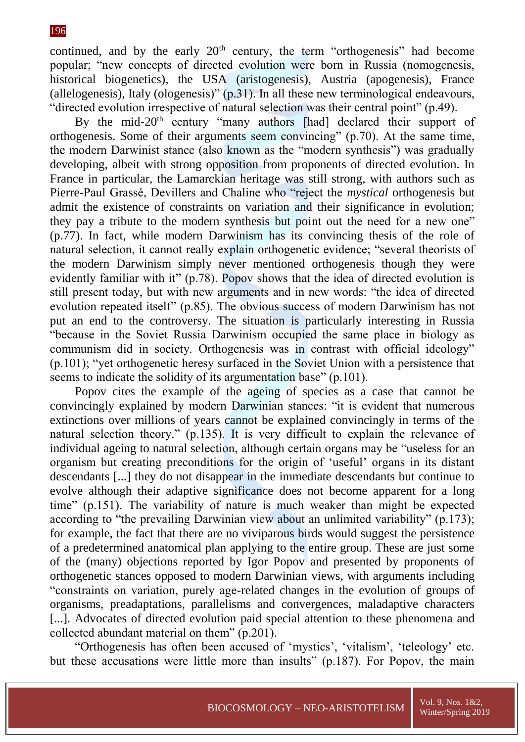continued, and by the early  $20<sup>th</sup>$  century, the term "orthogenesis" had become popular; "new concepts of directed evolution were born in Russia (nomogenesis, historical biogenetics), the USA (aristogenesis), Austria (apogenesis), France (allelogenesis), Italy (ologenesis)" (p.31). In all these new terminological endeavours, "directed evolution irrespective of natural selection was their central point" (p.49).

By the mid-20<sup>th</sup> century "many authors [had] declared their support of orthogenesis. Some of their arguments seem convincing" (p.70). At the same time, the modern Darwinist stance (also known as the "modern synthesis") was gradually developing, albeit with strong opposition from proponents of directed evolution. In France in particular, the Lamarckian heritage was still strong, with authors such as Pierre-Paul Grassé, Devillers and Chaline who "reject the *mystical* orthogenesis but admit the existence of constraints on variation and their significance in evolution; they pay a tribute to the modern synthesis but point out the need for a new one" (p.77). In fact, while modern Darwinism has its convincing thesis of the role of natural selection, it cannot really explain orthogenetic evidence; "several theorists of the modern Darwinism simply never mentioned orthogenesis though they were evidently familiar with it" (p.78). Popov shows that the idea of directed evolution is still present today, but with new arguments and in new words: "the idea of directed evolution repeated itself" (p.85). The obvious success of modern Darwinism has not put an end to the controversy. The situation is particularly interesting in Russia "because in the Soviet Russia Darwinism occupied the same place in biology as communism did in society. Orthogenesis was in contrast with official ideology" (p.101); "yet orthogenetic heresy surfaced in the Soviet Union with a persistence that seems to indicate the solidity of its argumentation base" (p.101).

Popov cites the example of the ageing of species as a case that cannot be convincingly explained by modern Darwinian stances: "it is evident that numerous extinctions over millions of years cannot be explained convincingly in terms of the natural selection theory." (p.135). It is very difficult to explain the relevance of individual ageing to natural selection, although certain organs may be "useless for an organism but creating preconditions for the origin of 'useful' organs in its distant descendants [...] they do not disappear in the immediate descendants but continue to evolve although their adaptive significance does not become apparent for a long time" (p.151). The variability of nature is much weaker than might be expected according to "the prevailing Darwinian view about an unlimited variability" (p.173); for example, the fact that there are no viviparous birds would suggest the persistence of a predetermined anatomical plan applying to the entire group. These are just some of the (many) objections reported by Igor Popov and presented by proponents of orthogenetic stances opposed to modern Darwinian views, with arguments including "constraints on variation, purely age-related changes in the evolution of groups of organisms, preadaptations, parallelisms and convergences, maladaptive characters [...]. Advocates of directed evolution paid special attention to these phenomena and collected abundant material on them" (p.201).

"Orthogenesis has often been accused of 'mystics', 'vitalism', 'teleology' etc. but these accusations were little more than insults" (p.187). For Popov, the main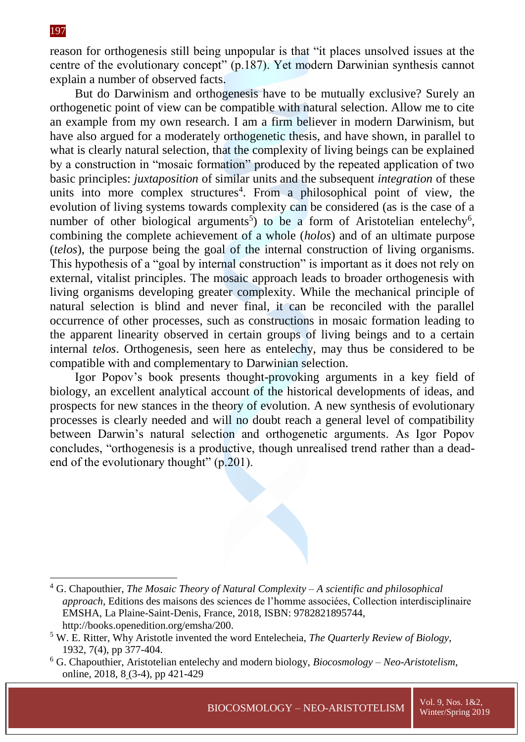1

reason for orthogenesis still being unpopular is that "it places unsolved issues at the centre of the evolutionary concept" (p.187). Yet modern Darwinian synthesis cannot explain a number of observed facts.

But do Darwinism and orthogenesis have to be mutually exclusive? Surely an orthogenetic point of view can be compatible with natural selection. Allow me to cite an example from my own research. I am a firm believer in modern Darwinism, but have also argued for a moderately orthogenetic thesis, and have shown, in parallel to what is clearly natural selection, that the complexity of living beings can be explained by a construction in "mosaic formation" produced by the repeated application of two basic principles: *juxtaposition* of similar units and the subsequent *integration* of these units into more complex structures<sup>4</sup>. From a philosophical point of view, the evolution of living systems towards complexity can be considered (as is the case of a number of other biological arguments<sup>5</sup>) to be a form of Aristotelian entelechy<sup>6</sup>, combining the complete achievement of a whole (*holos*) and of an ultimate purpose (*telos*), the purpose being the goal of the internal construction of living organisms. This hypothesis of a "goal by internal construction" is important as it does not rely on external, vitalist principles. The mosaic approach leads to broader orthogenesis with living organisms developing greater complexity. While the mechanical principle of natural selection is blind and never final, it can be reconciled with the parallel occurrence of other processes, such as constructions in mosaic formation leading to the apparent linearity observed in certain groups of living beings and to a certain internal *telos*. Orthogenesis, seen here as entelechy, may thus be considered to be compatible with and complementary to Darwinian selection.

Igor Popov's book presents thought-provoking arguments in a key field of biology, an excellent analytical account of the historical developments of ideas, and prospects for new stances in the theory of evolution. A new synthesis of evolutionary processes is clearly needed and will no doubt reach a general level of compatibility between Darwin's natural selection and orthogenetic arguments. As Igor Popov concludes, "orthogenesis is a productive, though unrealised trend rather than a deadend of the evolutionary thought" (p.201).

<sup>4</sup> G. Chapouthier, *The Mosaic Theory of Natural Complexity – A scientific and philosophical approach*, Editions des maisons des sciences de l'homme associées, Collection interdisciplinaire EMSHA, La Plaine-Saint-Denis, France, 2018, ISBN: 9782821895744, http://books.openedition.org/emsha/200.

<sup>5</sup> W. E. Ritter, Why Aristotle invented the word Entelecheia, *The Quarterly Review of Biology*, 1932, 7(4), pp 377-404.

<sup>6</sup> G. Chapouthier, Aristotelian entelechy and modern biology, *Biocosmology – Neo-Aristotelism*, online, 2018, 8 (3-4), pp 421-429